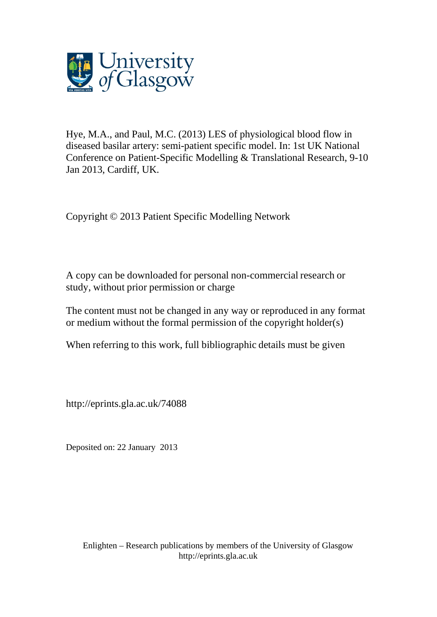

Hye, M.A., and Paul, M.C. (2013) LES of physiological blood flow in diseased basilar artery: semi-patient specific model. In: 1st UK National Conference on Patient-Specific Modelling & Translational Research, 9-10 Jan 2013, Cardiff, UK.

Copyright © 2013 Patient Specific Modelling Network

A copy can be downloaded for personal non-commercial research or study, without prior permission or charge

The content must not be changed in any way or reproduced in any format or medium without the formal permission of the copyright holder(s)

When referring to this work, full bibliographic details must be given

http://eprints.gla.ac.uk/74088

Deposited on: 22 January 2013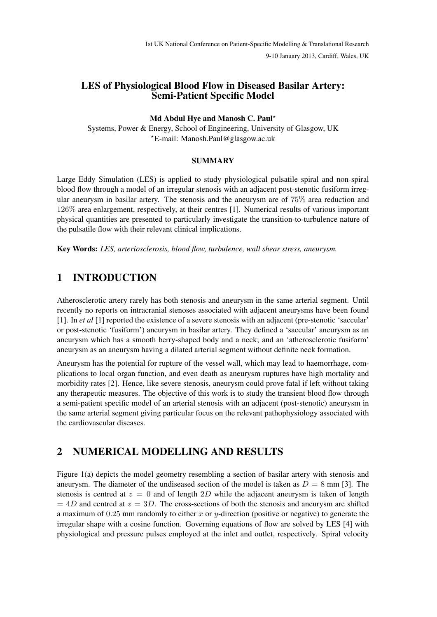9-10 January 2013, Cardiff, Wales, UK

### LES of Physiological Blood Flow in Diseased Basilar Artery: Semi-Patient Specific Model

#### Md Abdul Hye and Manosh C. Paul?

Systems, Power & Energy, School of Engineering, University of Glasgow, UK ?E-mail: Manosh.Paul@glasgow.ac.uk

#### **SUMMARY**

Large Eddy Simulation (LES) is applied to study physiological pulsatile spiral and non-spiral blood flow through a model of an irregular stenosis with an adjacent post-stenotic fusiform irregular aneurysm in basilar artery. The stenosis and the aneurysm are of 75% area reduction and 126% area enlargement, respectively, at their centres [1]. Numerical results of various important physical quantities are presented to particularly investigate the transition-to-turbulence nature of the pulsatile flow with their relevant clinical implications.

Key Words: *LES, arteriosclerosis, blood flow, turbulence, wall shear stress, aneurysm.*

## 1 INTRODUCTION

Atherosclerotic artery rarely has both stenosis and aneurysm in the same arterial segment. Until recently no reports on intracranial stenoses associated with adjacent aneurysms have been found [1]. In *et al* [1] reported the existence of a severe stenosis with an adjacent (pre-stenotic 'saccular' or post-stenotic 'fusiform') aneurysm in basilar artery. They defined a 'saccular' aneurysm as an aneurysm which has a smooth berry-shaped body and a neck; and an 'atherosclerotic fusiform' aneurysm as an aneurysm having a dilated arterial segment without definite neck formation.

Aneurysm has the potential for rupture of the vessel wall, which may lead to haemorrhage, complications to local organ function, and even death as aneurysm ruptures have high mortality and morbidity rates [2]. Hence, like severe stenosis, aneurysm could prove fatal if left without taking any therapeutic measures. The objective of this work is to study the transient blood flow through a semi-patient specific model of an arterial stenosis with an adjacent (post-stenotic) aneurysm in the same arterial segment giving particular focus on the relevant pathophysiology associated with the cardiovascular diseases.

# 2 NUMERICAL MODELLING AND RESULTS

Figure 1(a) depicts the model geometry resembling a section of basilar artery with stenosis and aneurysm. The diameter of the undiseased section of the model is taken as  $D = 8$  mm [3]. The stenosis is centred at  $z = 0$  and of length 2D while the adjacent aneurysm is taken of length  $= 4D$  and centred at  $z = 3D$ . The cross-sections of both the stenosis and aneurysm are shifted a maximum of  $0.25$  mm randomly to either x or y-direction (positive or negative) to generate the irregular shape with a cosine function. Governing equations of flow are solved by LES [4] with physiological and pressure pulses employed at the inlet and outlet, respectively. Spiral velocity